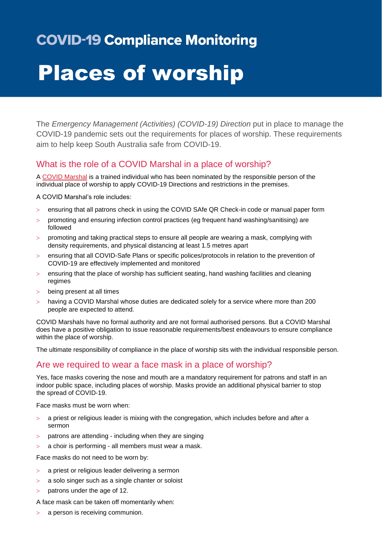# **COVID-19 Compliance Monitoring**

# Places of worship

The *Emergency Management (Activities) (COVID-19) Direction* put in place to manage the COVID-19 pandemic sets out the requirements for places of worship. These requirements aim to help keep South Australia safe from COVID-19.

## What is the role of a COVID Marshal in a place of worship?

A [COVID Marshal](https://www.covid-19.sa.gov.au/business-and-events/covid-marshals) is a trained individual who has been nominated by the responsible person of the individual place of worship to apply COVID-19 Directions and restrictions in the premises.

A COVID Marshal's role includes:

- ensuring that all patrons check in using the COVID SAfe QR Check-in code or manual paper form
- promoting and ensuring infection control practices (eg frequent hand washing/sanitising) are followed
- promoting and taking practical steps to ensure all people are wearing a mask, complying with density requirements, and physical distancing at least 1.5 metres apart
- ensuring that all COVID-Safe Plans or specific polices/protocols in relation to the prevention of COVID-19 are effectively implemented and monitored
- ensuring that the place of worship has sufficient seating, hand washing facilities and cleaning regimes
- being present at all times
- having a COVID Marshal whose duties are dedicated solely for a service where more than 200 people are expected to attend.

COVID Marshals have no formal authority and are not formal authorised persons. But a COVID Marshal does have a positive obligation to issue reasonable requirements/best endeavours to ensure compliance within the place of worship.

The ultimate responsibility of compliance in the place of worship sits with the individual responsible person.

#### Are we required to wear a face mask in a place of worship?

Yes, face masks covering the nose and mouth are a mandatory requirement for patrons and staff in an indoor public space, including places of worship. Masks provide an additional physical barrier to stop the spread of COVID-19.

Face masks must be worn when:

- a priest or religious leader is mixing with the congregation, which includes before and after a sermon
- $>$  patrons are attending including when they are singing
- a choir is performing all members must wear a mask.

Face masks do not need to be worn by:

- a priest or religious leader delivering a sermon
- a solo singer such as a single chanter or soloist
- patrons under the age of 12.

A face mask can be taken off momentarily when:

a person is receiving communion.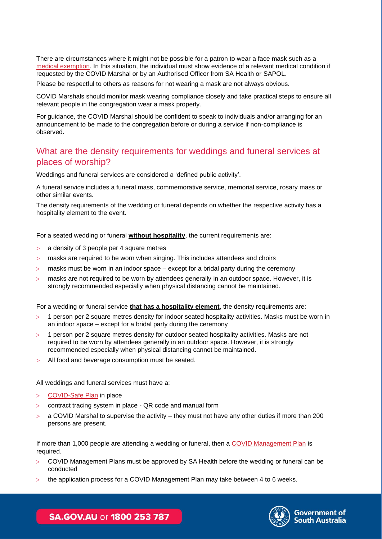There are circumstances where it might not be possible for a patron to wear a face mask such as a [medical exemption.](https://www.sahealth.sa.gov.au/wps/wcm/connect/public+content/sa+health+internet/conditions/infectious+diseases/covid-19/about+covid-19/protecting+yourself+and+others+from+covid-19/face+masks/face+masks) In this situation, the individual must show evidence of a relevant medical condition if requested by the COVID Marshal or by an Authorised Officer from SA Health or SAPOL.

Please be respectful to others as reasons for not wearing a mask are not always obvious.

COVID Marshals should monitor mask wearing compliance closely and take practical steps to ensure all relevant people in the congregation wear a mask properly.

For guidance, the COVID Marshal should be confident to speak to individuals and/or arranging for an announcement to be made to the congregation before or during a service if non-compliance is observed.

#### What are the density requirements for weddings and funeral services at places of worship?

Weddings and funeral services are considered a 'defined public activity'.

A funeral service includes a funeral mass, commemorative service, memorial service, rosary mass or other similar events.

The density requirements of the wedding or funeral depends on whether the respective activity has a hospitality element to the event.

For a seated wedding or funeral **without hospitality**, the current requirements are:

- a density of 3 people per 4 square metres
- masks are required to be worn when singing. This includes attendees and choirs
- $>$  masks must be worn in an indoor space except for a bridal party during the ceremony
- masks are not required to be worn by attendees generally in an outdoor space. However, it is strongly recommended especially when physical distancing cannot be maintained.

For a wedding or funeral service **that has a hospitality element**, the density requirements are:

- 1 person per 2 square metres density for indoor seated hospitality activities. Masks must be worn in an indoor space – except for a bridal party during the ceremony
- 1 person per 2 square metres density for outdoor seated hospitality activities. Masks are not required to be worn by attendees generally in an outdoor space. However, it is strongly recommended especially when physical distancing cannot be maintained.
- All food and beverage consumption must be seated.

All weddings and funeral services must have a:

- [COVID-Safe Plan](https://www.covid-19.sa.gov.au/business-and-events/create-a-covid-safe-plan) in place
- contract tracing system in place QR code and manual form
- a COVID Marshal to supervise the activity they must not have any other duties if more than 200 persons are present.

If more than 1,000 people are attending a wedding or funeral, then a [COVID Management Plan](https://www.covid-19.sa.gov.au/business-and-events/create-a-covid-management-plan/pageants-and-parades) is required.

- COVID Management Plans must be approved by SA Health before the wedding or funeral can be conducted
- the application process for a COVID Management Plan may take between 4 to 6 weeks.



Government of South Australia

SA.GOV.AU or 1800 253 787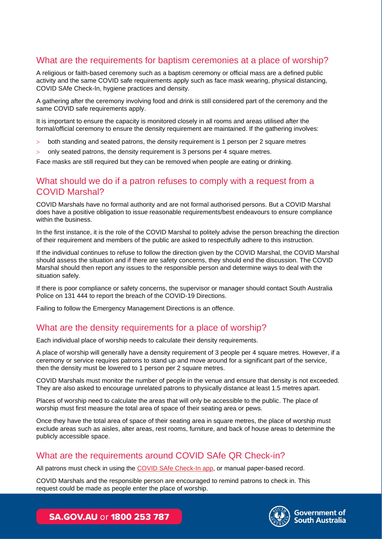# What are the requirements for baptism ceremonies at a place of worship?

A religious or faith-based ceremony such as a baptism ceremony or official mass are a defined public activity and the same COVID safe requirements apply such as face mask wearing, physical distancing, COVID SAfe Check-In, hygiene practices and density.

A gathering after the ceremony involving food and drink is still considered part of the ceremony and the same COVID safe requirements apply.

It is important to ensure the capacity is monitored closely in all rooms and areas utilised after the formal/official ceremony to ensure the density requirement are maintained. If the gathering involves:

- both standing and seated patrons, the density requirement is 1 person per 2 square metres
- $>$  only seated patrons, the density requirement is 3 persons per 4 square metres.

Face masks are still required but they can be removed when people are eating or drinking.

#### What should we do if a patron refuses to comply with a request from a COVID Marshal?

COVID Marshals have no formal authority and are not formal authorised persons. But a COVID Marshal does have a positive obligation to issue reasonable requirements/best endeavours to ensure compliance within the business.

In the first instance, it is the role of the COVID Marshal to politely advise the person breaching the direction of their requirement and members of the public are asked to respectfully adhere to this instruction.

If the individual continues to refuse to follow the direction given by the COVID Marshal, the COVID Marshal should assess the situation and if there are safety concerns, they should end the discussion. The COVID Marshal should then report any issues to the responsible person and determine ways to deal with the situation safely.

If there is poor compliance or safety concerns, the supervisor or manager should contact South Australia Police on 131 444 to report the breach of the COVID-19 Directions.

Failing to follow the Emergency Management Directions is an offence.

#### What are the density requirements for a place of worship?

Each individual place of worship needs to calculate their density requirements.

A place of worship will generally have a density requirement of 3 people per 4 square metres. However, if a ceremony or service requires patrons to stand up and move around for a significant part of the service, then the density must be lowered to 1 person per 2 square metres.

COVID Marshals must monitor the number of people in the venue and ensure that density is not exceeded. They are also asked to encourage unrelated patrons to physically distance at least 1.5 metres apart.

Places of worship need to calculate the areas that will only be accessible to the public. The place of worship must first measure the total area of space of their seating area or pews.

Once they have the total area of space of their seating area in square metres, the place of worship must exclude areas such as aisles, alter areas, rest rooms, furniture, and back of house areas to determine the publicly accessible space.

# What are the requirements around COVID SAfe QR Check-in?

All patrons must check in using the [COVID SAfe Check-In app,](https://www.covid-19.sa.gov.au/business-and-events/covid-safe-check-in) or manual paper-based record.

COVID Marshals and the responsible person are encouraged to remind patrons to check in. This request could be made as people enter the place of worship.



**Government of South Australia** 

**SA.GOV.AU or 1800 253 787**